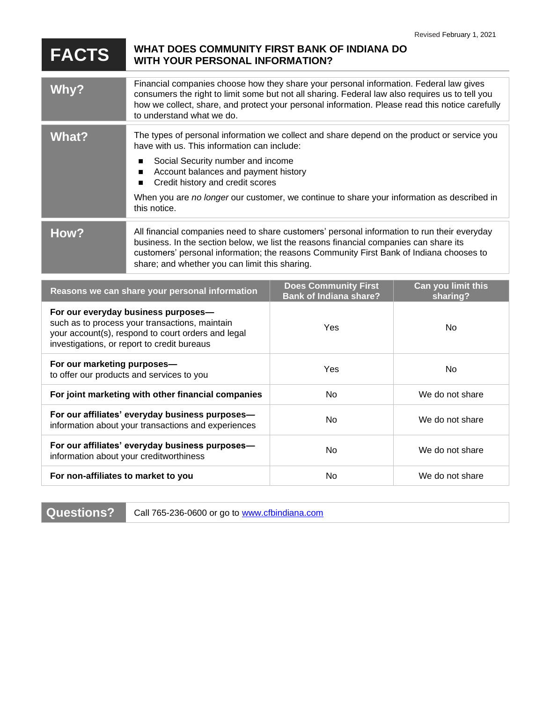## **FACTS WHAT DOES COMMUNITY FIRST BANK OF INDIANA DO WITH YOUR PERSONAL INFORMATION?**

| <b>Why?</b>                                                                                                                                                                                | Financial companies choose how they share your personal information. Federal law gives<br>consumers the right to limit some but not all sharing. Federal law also requires us to tell you<br>how we collect, share, and protect your personal information. Please read this notice carefully<br>to understand what we do.         |                                      |                    |
|--------------------------------------------------------------------------------------------------------------------------------------------------------------------------------------------|-----------------------------------------------------------------------------------------------------------------------------------------------------------------------------------------------------------------------------------------------------------------------------------------------------------------------------------|--------------------------------------|--------------------|
| <b>What?</b>                                                                                                                                                                               | The types of personal information we collect and share depend on the product or service you<br>have with us. This information can include:                                                                                                                                                                                        |                                      |                    |
|                                                                                                                                                                                            | Social Security number and income<br>٠<br>Account balances and payment history<br>■<br>Credit history and credit scores<br>■                                                                                                                                                                                                      |                                      |                    |
|                                                                                                                                                                                            | When you are no longer our customer, we continue to share your information as described in<br>this notice.                                                                                                                                                                                                                        |                                      |                    |
| How?                                                                                                                                                                                       | All financial companies need to share customers' personal information to run their everyday<br>business. In the section below, we list the reasons financial companies can share its<br>customers' personal information; the reasons Community First Bank of Indiana chooses to<br>share; and whether you can limit this sharing. |                                      |                    |
|                                                                                                                                                                                            | Reasons we can share your personal information                                                                                                                                                                                                                                                                                    | <b>Does Community First</b>          | Can you limit this |
| For our everyday business purposes-<br>such as to process your transactions, maintain<br>your account(s), respond to court orders and legal<br>investigations, or report to credit bureaus |                                                                                                                                                                                                                                                                                                                                   | <b>Bank of Indiana share?</b><br>Yes | sharing?<br>No     |
| For our marketing purposes-<br>to offer our products and services to you                                                                                                                   |                                                                                                                                                                                                                                                                                                                                   | Yes                                  | <b>No</b>          |
| For joint marketing with other financial companies                                                                                                                                         |                                                                                                                                                                                                                                                                                                                                   | No                                   | We do not share    |
| For our affiliates' everyday business purposes-<br>information about your transactions and experiences                                                                                     |                                                                                                                                                                                                                                                                                                                                   | <b>No</b>                            | We do not share    |
| For our affiliates' everyday business purposes-<br>information about your creditworthiness                                                                                                 |                                                                                                                                                                                                                                                                                                                                   | <b>No</b>                            | We do not share    |
| For non-affiliates to market to you                                                                                                                                                        |                                                                                                                                                                                                                                                                                                                                   | No                                   | We do not share    |

**Questions?** Call 765-236-0600 or go to [www.cfbindiana.com](http://www.cfbindiana.com/)